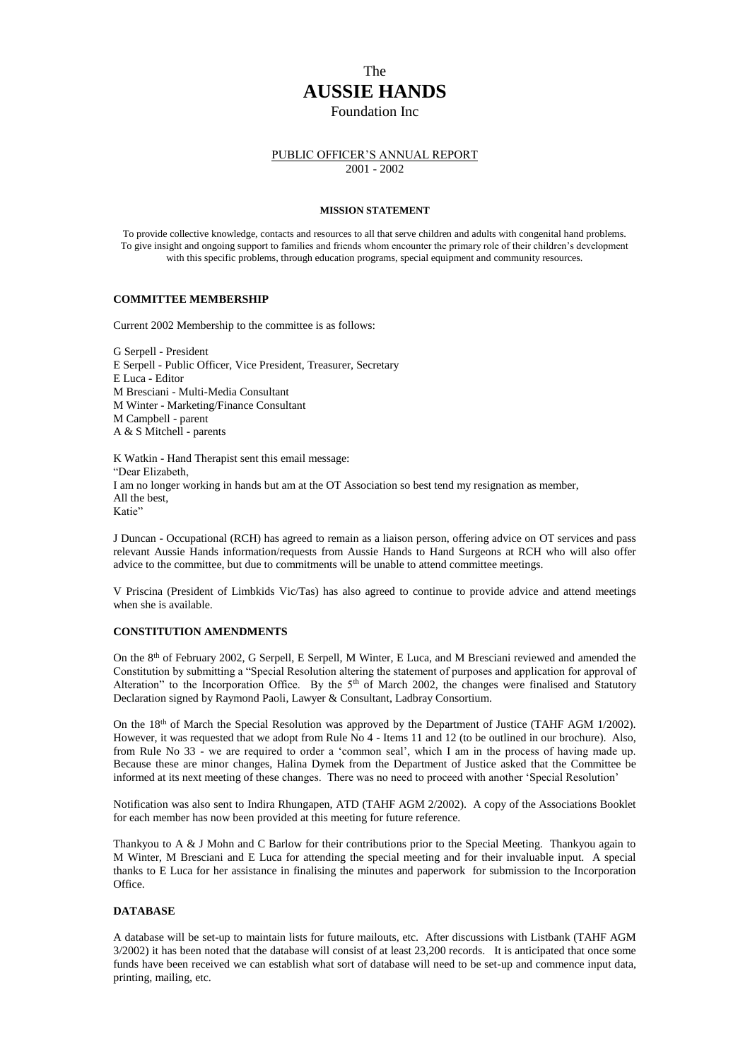# The **AUSSIE HANDS**  Foundation Inc

## PUBLIC OFFICER'S ANNUAL REPORT 2001 - 2002

#### **MISSION STATEMENT**

To provide collective knowledge, contacts and resources to all that serve children and adults with congenital hand problems. To give insight and ongoing support to families and friends whom encounter the primary role of their children's development with this specific problems, through education programs, special equipment and community resources.

# **COMMITTEE MEMBERSHIP**

Current 2002 Membership to the committee is as follows:

G Serpell - President E Serpell - Public Officer, Vice President, Treasurer, Secretary E Luca - Editor M Bresciani - Multi-Media Consultant M Winter - Marketing/Finance Consultant M Campbell - parent A & S Mitchell - parents

K Watkin - Hand Therapist sent this email message: "Dear Elizabeth, I am no longer working in hands but am at the OT Association so best tend my resignation as member, All the best, Katie"

J Duncan - Occupational (RCH) has agreed to remain as a liaison person, offering advice on OT services and pass relevant Aussie Hands information/requests from Aussie Hands to Hand Surgeons at RCH who will also offer advice to the committee, but due to commitments will be unable to attend committee meetings.

V Priscina (President of Limbkids Vic/Tas) has also agreed to continue to provide advice and attend meetings when she is available.

#### **CONSTITUTION AMENDMENTS**

On the 8th of February 2002, G Serpell, E Serpell, M Winter, E Luca, and M Bresciani reviewed and amended the Constitution by submitting a "Special Resolution altering the statement of purposes and application for approval of Alteration" to the Incorporation Office. By the  $5<sup>th</sup>$  of March 2002, the changes were finalised and Statutory Declaration signed by Raymond Paoli, Lawyer & Consultant, Ladbray Consortium.

On the 18<sup>th</sup> of March the Special Resolution was approved by the Department of Justice (TAHF AGM 1/2002). However, it was requested that we adopt from Rule No 4 - Items 11 and 12 (to be outlined in our brochure). Also, from Rule No 33 - we are required to order a 'common seal', which I am in the process of having made up. Because these are minor changes, Halina Dymek from the Department of Justice asked that the Committee be informed at its next meeting of these changes. There was no need to proceed with another 'Special Resolution'

Notification was also sent to Indira Rhungapen, ATD (TAHF AGM 2/2002). A copy of the Associations Booklet for each member has now been provided at this meeting for future reference.

Thankyou to A & J Mohn and C Barlow for their contributions prior to the Special Meeting. Thankyou again to M Winter, M Bresciani and E Luca for attending the special meeting and for their invaluable input. A special thanks to E Luca for her assistance in finalising the minutes and paperwork for submission to the Incorporation Office.

#### **DATABASE**

A database will be set-up to maintain lists for future mailouts, etc. After discussions with Listbank (TAHF AGM 3/2002) it has been noted that the database will consist of at least 23,200 records. It is anticipated that once some funds have been received we can establish what sort of database will need to be set-up and commence input data, printing, mailing, etc.